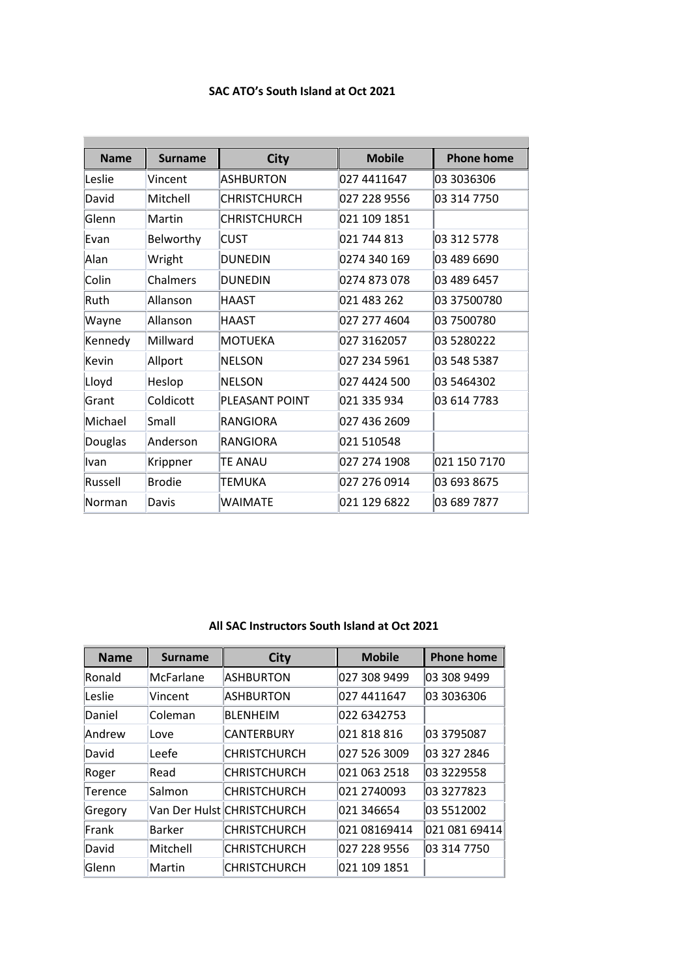## **SAC ATO's South Island at Oct 2021**

| <b>Name</b> | <b>Surname</b> | <b>City</b>         | <b>Mobile</b> | <b>Phone home</b> |
|-------------|----------------|---------------------|---------------|-------------------|
| Leslie      | Vincent        | <b>ASHBURTON</b>    | 027 4411647   | 03 3036306        |
| David       | Mitchell       | <b>CHRISTCHURCH</b> | 027 228 9556  | 03 314 7750       |
| Glenn       | Martin         | <b>CHRISTCHURCH</b> | 021 109 1851  |                   |
| Evan        | Belworthy      | <b>CUST</b>         | 021 744 813   | 03 312 5778       |
| Alan        | Wright         | <b>DUNEDIN</b>      | 0274 340 169  | 03 489 6690       |
| Colin       | Chalmers       | <b>DUNEDIN</b>      | 0274 873 078  | 03 489 6457       |
| Ruth        | Allanson       | <b>HAAST</b>        | 021 483 262   | 03 37500780       |
| Wayne       | Allanson       | <b>HAAST</b>        | 027 277 4604  | 03 7500780        |
| Kennedy     | Millward       | <b>MOTUEKA</b>      | 027 3162057   | 03 5280222        |
| Kevin       | Allport        | <b>NELSON</b>       | 027 234 5961  | 03 548 5387       |
| Lloyd       | Heslop         | <b>NELSON</b>       | 027 4424 500  | 03 5464302        |
| Grant       | Coldicott      | PLEASANT POINT      | 021 335 934   | 03 614 7783       |
| Michael     | Small          | <b>RANGIORA</b>     | 027 436 2609  |                   |
| Douglas     | Anderson       | <b>RANGIORA</b>     | 021 510548    |                   |
| Ivan        | Krippner       | <b>TE ANAU</b>      | 027 274 1908  | 021 150 7170      |
| Russell     | <b>Brodie</b>  | TEMUKA              | 027 276 0914  | 03 693 8675       |
| Norman      | Davis          | <b>WAIMATF</b>      | 021 129 6822  | 03 689 7877       |

## **All SAC Instructors South Island at Oct 2021**

| <b>Name</b> | <b>Surname</b>   | <b>City</b>                | <b>Mobile</b> | <b>Phone home</b> |
|-------------|------------------|----------------------------|---------------|-------------------|
| Ronald      | <b>McFarlane</b> | <b>ASHBURTON</b>           | 027 308 9499  | 03 308 9499       |
| Leslie      | Vincent          | ASHBURTON                  | 027 4411647   | 03 3036306        |
| Daniel      | Coleman          | <b>BLFNHFIM</b>            | 022 6342753   |                   |
| Andrew      | Love             | <b>CANTERBURY</b>          | 021 818 816   | 03 3795087        |
| David       | Leefe            | CHRISTCHURCH               | 027 526 3009  | 03 327 2846       |
| Roger       | Read             | <b>CHRISTCHURCH</b>        | 021 063 2518  | 03 3229558        |
| Terence     | Salmon           | <b>CHRISTCHURCH</b>        | 021 2740093   | 03 3277823        |
| Gregory     |                  | Van Der Hulst CHRISTCHURCH | 021 346654    | 03 5512002        |
| Frank       | <b>Barker</b>    | <b>CHRISTCHURCH</b>        | 021 08169414  | 021 081 69414     |
| David       | Mitchell         | CHRISTCHURCH               | 027 228 9556  | 03 314 7750       |
| Glenn       | Martin           | <b>CHRISTCHURCH</b>        | 021 109 1851  |                   |